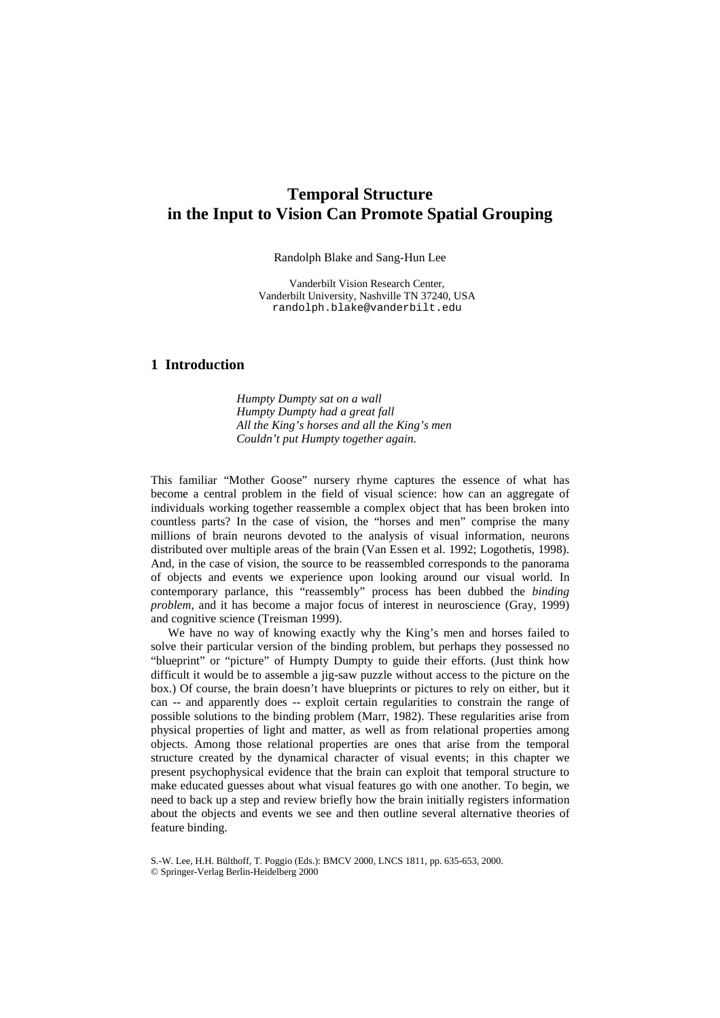# **Temporal Structure in the Input to Vision Can Promote Spatial Grouping**

Randolph Blake and Sang-Hun Lee

Vanderbilt Vision Research Center, Vanderbilt University, Nashville TN 37240, USA randolph.blake@vanderbilt.edu

### **1 Introduction**

*Humpty Dumpty sat on a wall Humpty Dumpty had a great fall All the King's horses and all the King's men Couldn't put Humpty together again.*

This familiar "Mother Goose" nursery rhyme captures the essence of what has become a central problem in the field of visual science: how can an aggregate of individuals working together reassemble a complex object that has been broken into countless parts? In the case of vision, the "horses and men" comprise the many millions of brain neurons devoted to the analysis of visual information, neurons distributed over multiple areas of the brain (Van Essen et al. 1992; Logothetis, 1998). And, in the case of vision, the source to be reassembled corresponds to the panorama of objects and events we experience upon looking around our visual world. In contemporary parlance, this "reassembly" process has been dubbed the *binding problem*, and it has become a major focus of interest in neuroscience (Gray, 1999) and cognitive science (Treisman 1999).

We have no way of knowing exactly why the King's men and horses failed to solve their particular version of the binding problem, but perhaps they possessed no "blueprint" or "picture" of Humpty Dumpty to guide their efforts. (Just think how difficult it would be to assemble a jig-saw puzzle without access to the picture on the box.) Of course, the brain doesn't have blueprints or pictures to rely on either, but it can -- and apparently does -- exploit certain regularities to constrain the range of possible solutions to the binding problem (Marr, 1982). These regularities arise from physical properties of light and matter, as well as from relational properties among objects. Among those relational properties are ones that arise from the temporal structure created by the dynamical character of visual events; in this chapter we present psychophysical evidence that the brain can exploit that temporal structure to make educated guesses about what visual features go with one another. To begin, we need to back up a step and review briefly how the brain initially registers information about the objects and events we see and then outline several alternative theories of feature binding.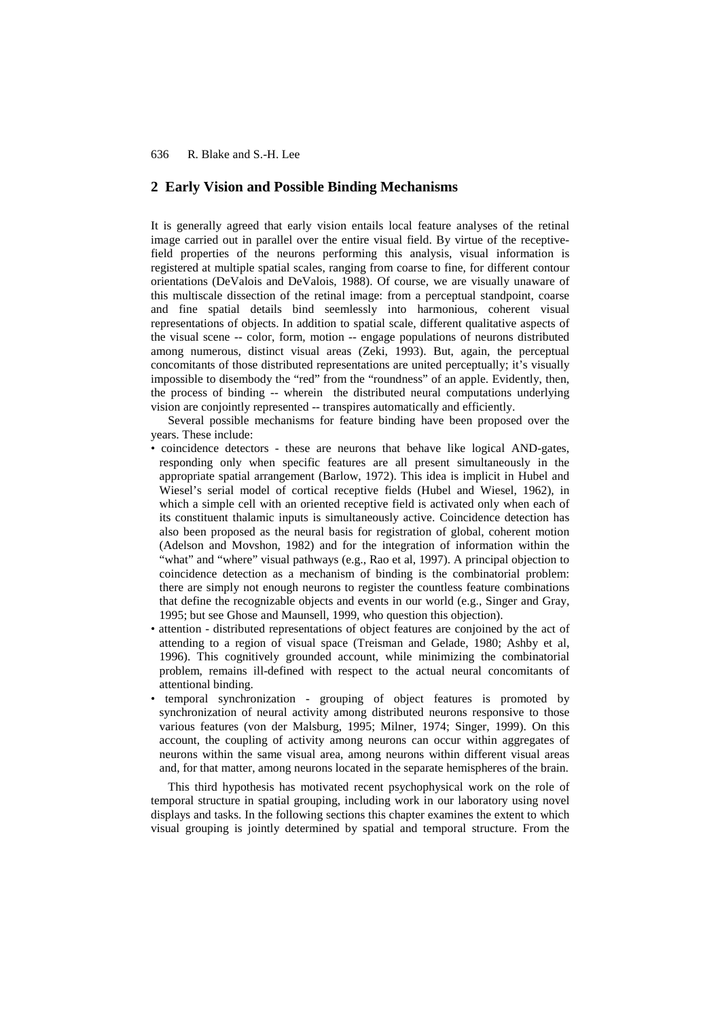## **2 Early Vision and Possible Binding Mechanisms**

It is generally agreed that early vision entails local feature analyses of the retinal image carried out in parallel over the entire visual field. By virtue of the receptivefield properties of the neurons performing this analysis, visual information is registered at multiple spatial scales, ranging from coarse to fine, for different contour orientations (DeValois and DeValois, 1988). Of course, we are visually unaware of this multiscale dissection of the retinal image: from a perceptual standpoint, coarse and fine spatial details bind seemlessly into harmonious, coherent visual representations of objects. In addition to spatial scale, different qualitative aspects of the visual scene -- color, form, motion -- engage populations of neurons distributed among numerous, distinct visual areas (Zeki, 1993). But, again, the perceptual concomitants of those distributed representations are united perceptually; it's visually impossible to disembody the "red" from the "roundness" of an apple. Evidently, then, the process of binding -- wherein the distributed neural computations underlying vision are conjointly represented -- transpires automatically and efficiently.

Several possible mechanisms for feature binding have been proposed over the years. These include:

- coincidence detectors these are neurons that behave like logical AND-gates, responding only when specific features are all present simultaneously in the appropriate spatial arrangement (Barlow, 1972). This idea is implicit in Hubel and Wiesel's serial model of cortical receptive fields (Hubel and Wiesel, 1962), in which a simple cell with an oriented receptive field is activated only when each of its constituent thalamic inputs is simultaneously active. Coincidence detection has also been proposed as the neural basis for registration of global, coherent motion (Adelson and Movshon, 1982) and for the integration of information within the "what" and "where" visual pathways (e.g., Rao et al, 1997). A principal objection to coincidence detection as a mechanism of binding is the combinatorial problem: there are simply not enough neurons to register the countless feature combinations that define the recognizable objects and events in our world (e.g., Singer and Gray, 1995; but see Ghose and Maunsell, 1999, who question this objection).
- attention distributed representations of object features are conjoined by the act of attending to a region of visual space (Treisman and Gelade, 1980; Ashby et al, 1996). This cognitively grounded account, while minimizing the combinatorial problem, remains ill-defined with respect to the actual neural concomitants of attentional binding.
- temporal synchronization grouping of object features is promoted by synchronization of neural activity among distributed neurons responsive to those various features (von der Malsburg, 1995; Milner, 1974; Singer, 1999). On this account, the coupling of activity among neurons can occur within aggregates of neurons within the same visual area, among neurons within different visual areas and, for that matter, among neurons located in the separate hemispheres of the brain.

This third hypothesis has motivated recent psychophysical work on the role of temporal structure in spatial grouping, including work in our laboratory using novel displays and tasks. In the following sections this chapter examines the extent to which visual grouping is jointly determined by spatial and temporal structure. From the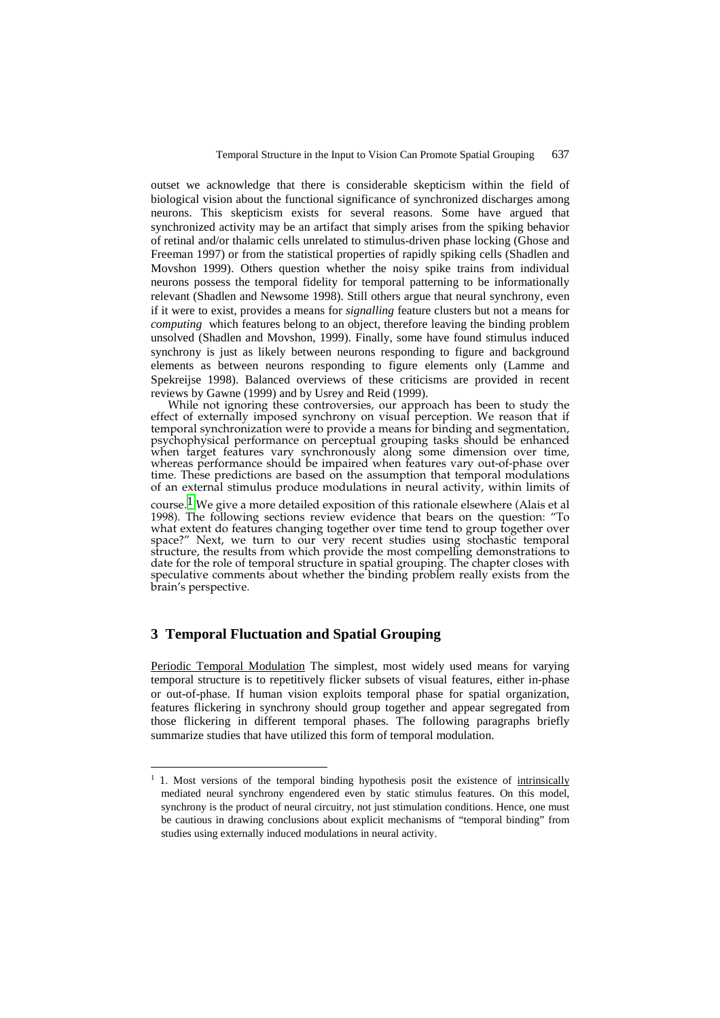outset we acknowledge that there is considerable skepticism within the field of biological vision about the functional significance of synchronized discharges among neurons. This skepticism exists for several reasons. Some have argued that synchronized activity may be an artifact that simply arises from the spiking behavior of retinal and/or thalamic cells unrelated to stimulus-driven phase locking (Ghose and Freeman 1997) or from the statistical properties of rapidly spiking cells (Shadlen and Movshon 1999). Others question whether the noisy spike trains from individual neurons possess the temporal fidelity for temporal patterning to be informationally relevant (Shadlen and Newsome 1998). Still others argue that neural synchrony, even if it were to exist, provides a means for *signalling* feature clusters but not a means for *computing* which features belong to an object, therefore leaving the binding problem unsolved (Shadlen and Movshon, 1999). Finally, some have found stimulus induced synchrony is just as likely between neurons responding to figure and background elements as between neurons responding to figure elements only (Lamme and Spekreijse 1998). Balanced overviews of these criticisms are provided in recent reviews by Gawne (1999) and by Usrey and Reid (1999).

While not ignoring these controversies, our approach has been to study the effect of externally imposed synchrony on visual perception. We reason that if temporal synchronization were to provide a means for binding and segmentation, psychophysical performance on perceptual grouping tasks should be enhanced when target features vary synchronously along some dimension over time, whereas performance should be impaired when features vary out-of-phase over time. These predictions are based on the assumption that temporal modulations of an external stimulus produce modulations in neural activity, within limits of

course.<sup>1</sup> We give a more detailed exposition of this rationale elsewhere (Alais et al 1998). The following sections review evidence that bears on the question: "To what extent do features changing together over time tend to group together over space?" Next, we turn to our very recent studies using stochastic temporal structure, the results from which provide the most compelling demonstrations to date for the role of temporal structure in spatial grouping. The chapter closes with speculative comments about whether the binding problem really exists from the brain's perspective.

## **3 Temporal Fluctuation and Spatial Grouping**

Periodic Temporal Modulation The simplest, most widely used means for varying temporal structure is to repetitively flicker subsets of visual features, either in-phase or out-of-phase. If human vision exploits temporal phase for spatial organization, features flickering in synchrony should group together and appear segregated from those flickering in different temporal phases. The following paragraphs briefly summarize studies that have utilized this form of temporal modulation.

 $1$  1. Most versions of the temporal binding hypothesis posit the existence of intrinsically mediated neural synchrony engendered even by static stimulus features. On this model, synchrony is the product of neural circuitry, not just stimulation conditions. Hence, one must be cautious in drawing conclusions about explicit mechanisms of "temporal binding" from studies using externally induced modulations in neural activity.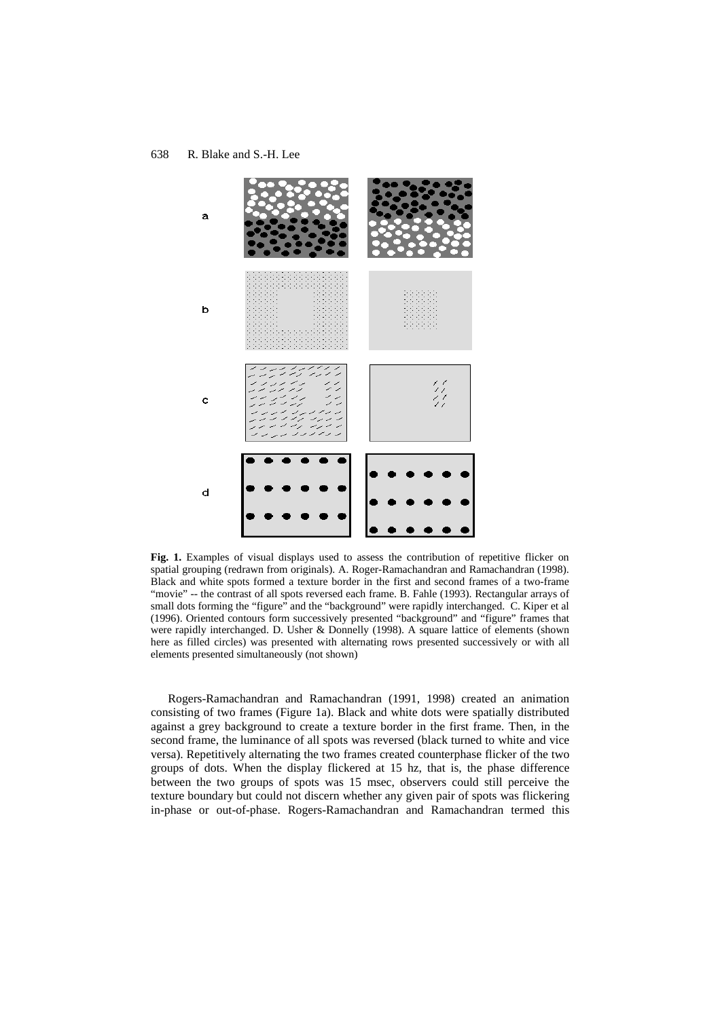

Fig. 1. Examples of visual displays used to assess the contribution of repetitive flicker on spatial grouping (redrawn from originals). A. Roger-Ramachandran and Ramachandran (1998). Black and white spots formed a texture border in the first and second frames of a two-frame "movie" -- the contrast of all spots reversed each frame. B. Fahle (1993). Rectangular arrays of small dots forming the "figure" and the "background" were rapidly interchanged. C. Kiper et al (1996). Oriented contours form successively presented "background" and "figure" frames that were rapidly interchanged. D. Usher & Donnelly (1998). A square lattice of elements (shown here as filled circles) was presented with alternating rows presented successively or with all elements presented simultaneously (not shown)

Rogers-Ramachandran and Ramachandran (1991, 1998) created an animation consisting of two frames (Figure 1a). Black and white dots were spatially distributed against a grey background to create a texture border in the first frame. Then, in the second frame, the luminance of all spots was reversed (black turned to white and vice versa). Repetitively alternating the two frames created counterphase flicker of the two groups of dots. When the display flickered at 15 hz, that is, the phase difference between the two groups of spots was 15 msec, observers could still perceive the texture boundary but could not discern whether any given pair of spots was flickering in-phase or out-of-phase. Rogers-Ramachandran and Ramachandran termed this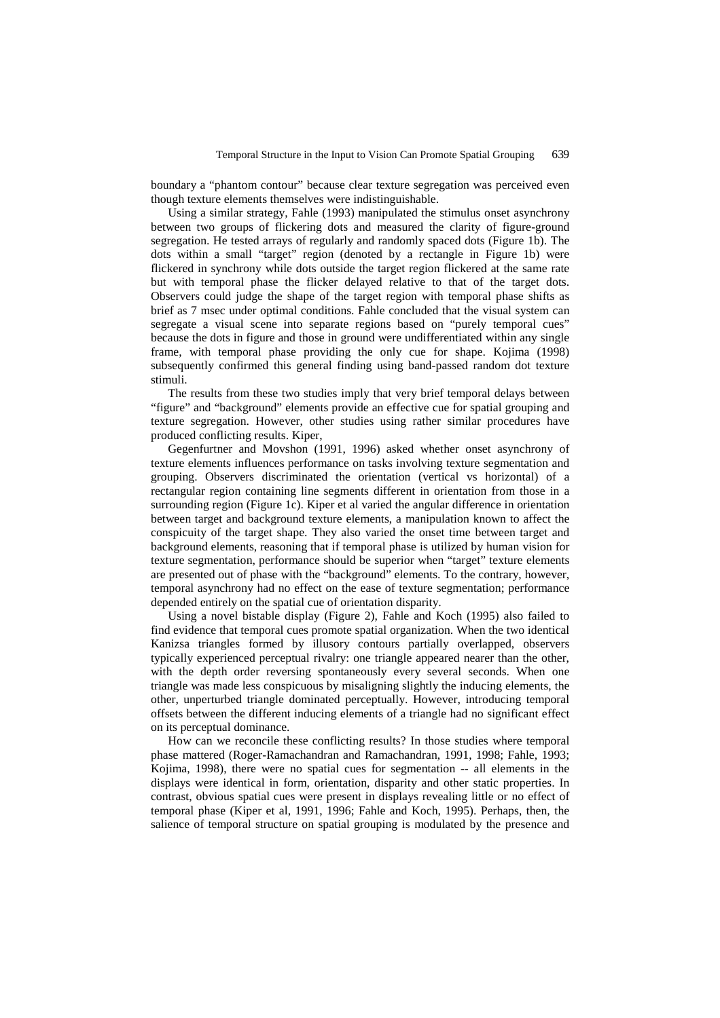boundary a "phantom contour" because clear texture segregation was perceived even though texture elements themselves were indistinguishable.

Using a similar strategy, Fahle (1993) manipulated the stimulus onset asynchrony between two groups of flickering dots and measured the clarity of figure-ground segregation. He tested arrays of regularly and randomly spaced dots (Figure 1b). The dots within a small "target" region (denoted by a rectangle in Figure 1b) were flickered in synchrony while dots outside the target region flickered at the same rate but with temporal phase the flicker delayed relative to that of the target dots. Observers could judge the shape of the target region with temporal phase shifts as brief as 7 msec under optimal conditions. Fahle concluded that the visual system can segregate a visual scene into separate regions based on "purely temporal cues" because the dots in figure and those in ground were undifferentiated within any single frame, with temporal phase providing the only cue for shape. Kojima (1998) subsequently confirmed this general finding using band-passed random dot texture stimuli.

The results from these two studies imply that very brief temporal delays between "figure" and "background" elements provide an effective cue for spatial grouping and texture segregation. However, other studies using rather similar procedures have produced conflicting results. Kiper,

Gegenfurtner and Movshon (1991, 1996) asked whether onset asynchrony of texture elements influences performance on tasks involving texture segmentation and grouping. Observers discriminated the orientation (vertical vs horizontal) of a rectangular region containing line segments different in orientation from those in a surrounding region (Figure 1c). Kiper et al varied the angular difference in orientation between target and background texture elements, a manipulation known to affect the conspicuity of the target shape. They also varied the onset time between target and background elements, reasoning that if temporal phase is utilized by human vision for texture segmentation, performance should be superior when "target" texture elements are presented out of phase with the "background" elements. To the contrary, however, temporal asynchrony had no effect on the ease of texture segmentation; performance depended entirely on the spatial cue of orientation disparity.

Using a novel bistable display (Figure 2), Fahle and Koch (1995) also failed to find evidence that temporal cues promote spatial organization. When the two identical Kanizsa triangles formed by illusory contours partially overlapped, observers typically experienced perceptual rivalry: one triangle appeared nearer than the other, with the depth order reversing spontaneously every several seconds. When one triangle was made less conspicuous by misaligning slightly the inducing elements, the other, unperturbed triangle dominated perceptually. However, introducing temporal offsets between the different inducing elements of a triangle had no significant effect on its perceptual dominance.

How can we reconcile these conflicting results? In those studies where temporal phase mattered (Roger-Ramachandran and Ramachandran, 1991, 1998; Fahle, 1993; Kojima, 1998), there were no spatial cues for segmentation -- all elements in the displays were identical in form, orientation, disparity and other static properties. In contrast, obvious spatial cues were present in displays revealing little or no effect of temporal phase (Kiper et al, 1991, 1996; Fahle and Koch, 1995). Perhaps, then, the salience of temporal structure on spatial grouping is modulated by the presence and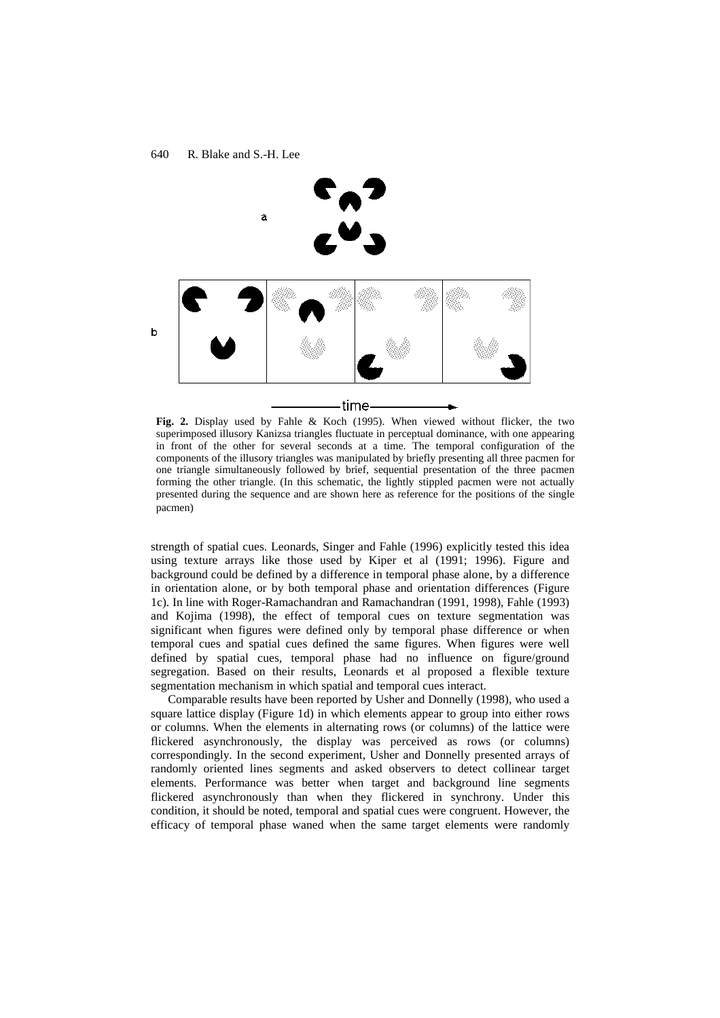

**Fig. 2.** Display used by Fahle & Koch (1995). When viewed without flicker, the two superimposed illusory Kanizsa triangles fluctuate in perceptual dominance, with one appearing in front of the other for several seconds at a time. The temporal configuration of the components of the illusory triangles was manipulated by briefly presenting all three pacmen for one triangle simultaneously followed by brief, sequential presentation of the three pacmen forming the other triangle. (In this schematic, the lightly stippled pacmen were not actually presented during the sequence and are shown here as reference for the positions of the single pacmen)

strength of spatial cues. Leonards, Singer and Fahle (1996) explicitly tested this idea using texture arrays like those used by Kiper et al (1991; 1996). Figure and background could be defined by a difference in temporal phase alone, by a difference in orientation alone, or by both temporal phase and orientation differences (Figure 1c). In line with Roger-Ramachandran and Ramachandran (1991, 1998), Fahle (1993) and Kojima (1998), the effect of temporal cues on texture segmentation was significant when figures were defined only by temporal phase difference or when temporal cues and spatial cues defined the same figures. When figures were well defined by spatial cues, temporal phase had no influence on figure/ground segregation. Based on their results, Leonards et al proposed a flexible texture segmentation mechanism in which spatial and temporal cues interact.

Comparable results have been reported by Usher and Donnelly (1998), who used a square lattice display (Figure 1d) in which elements appear to group into either rows or columns. When the elements in alternating rows (or columns) of the lattice were flickered asynchronously, the display was perceived as rows (or columns) correspondingly. In the second experiment, Usher and Donnelly presented arrays of randomly oriented lines segments and asked observers to detect collinear target elements. Performance was better when target and background line segments flickered asynchronously than when they flickered in synchrony. Under this condition, it should be noted, temporal and spatial cues were congruent. However, the efficacy of temporal phase waned when the same target elements were randomly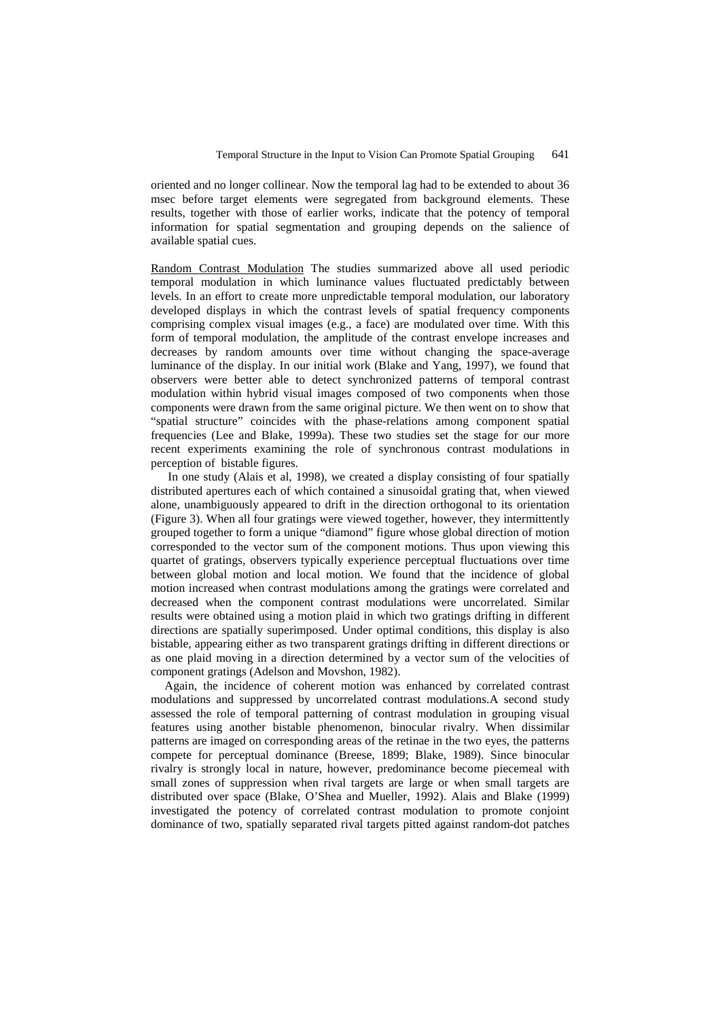oriented and no longer collinear. Now the temporal lag had to be extended to about 36 msec before target elements were segregated from background elements. These results, together with those of earlier works, indicate that the potency of temporal information for spatial segmentation and grouping depends on the salience of available spatial cues.

Random Contrast Modulation The studies summarized above all used periodic temporal modulation in which luminance values fluctuated predictably between levels. In an effort to create more unpredictable temporal modulation, our laboratory developed displays in which the contrast levels of spatial frequency components comprising complex visual images (e.g., a face) are modulated over time. With this form of temporal modulation, the amplitude of the contrast envelope increases and decreases by random amounts over time without changing the space-average luminance of the display. In our initial work (Blake and Yang, 1997), we found that observers were better able to detect synchronized patterns of temporal contrast modulation within hybrid visual images composed of two components when those components were drawn from the same original picture. We then went on to show that "spatial structure" coincides with the phase-relations among component spatial frequencies (Lee and Blake, 1999a). These two studies set the stage for our more recent experiments examining the role of synchronous contrast modulations in perception of bistable figures.

In one study (Alais et al, 1998), we created a display consisting of four spatially distributed apertures each of which contained a sinusoidal grating that, when viewed alone, unambiguously appeared to drift in the direction orthogonal to its orientation (Figure 3). When all four gratings were viewed together, however, they intermittently grouped together to form a unique "diamond" figure whose global direction of motion corresponded to the vector sum of the component motions. Thus upon viewing this quartet of gratings, observers typically experience perceptual fluctuations over time between global motion and local motion. We found that the incidence of global motion increased when contrast modulations among the gratings were correlated and decreased when the component contrast modulations were uncorrelated. Similar results were obtained using a motion plaid in which two gratings drifting in different directions are spatially superimposed. Under optimal conditions, this display is also bistable, appearing either as two transparent gratings drifting in different directions or as one plaid moving in a direction determined by a vector sum of the velocities of component gratings (Adelson and Movshon, 1982).

Again, the incidence of coherent motion was enhanced by correlated contrast modulations and suppressed by uncorrelated contrast modulations.A second study assessed the role of temporal patterning of contrast modulation in grouping visual features using another bistable phenomenon, binocular rivalry. When dissimilar patterns are imaged on corresponding areas of the retinae in the two eyes, the patterns compete for perceptual dominance (Breese, 1899; Blake, 1989). Since binocular rivalry is strongly local in nature, however, predominance become piecemeal with small zones of suppression when rival targets are large or when small targets are distributed over space (Blake, O'Shea and Mueller, 1992). Alais and Blake (1999) investigated the potency of correlated contrast modulation to promote conjoint dominance of two, spatially separated rival targets pitted against random-dot patches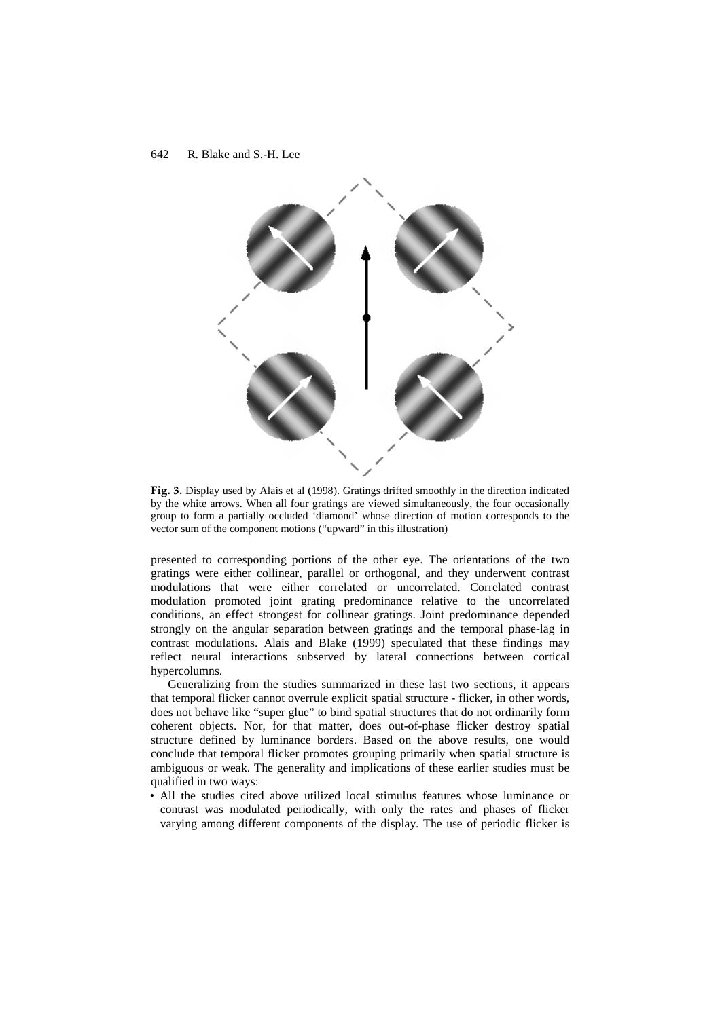

**Fig. 3.** Display used by Alais et al (1998). Gratings drifted smoothly in the direction indicated by the white arrows. When all four gratings are viewed simultaneously, the four occasionally group to form a partially occluded 'diamond' whose direction of motion corresponds to the vector sum of the component motions ("upward" in this illustration)

presented to corresponding portions of the other eye. The orientations of the two gratings were either collinear, parallel or orthogonal, and they underwent contrast modulations that were either correlated or uncorrelated. Correlated contrast modulation promoted joint grating predominance relative to the uncorrelated conditions, an effect strongest for collinear gratings. Joint predominance depended strongly on the angular separation between gratings and the temporal phase-lag in contrast modulations. Alais and Blake (1999) speculated that these findings may reflect neural interactions subserved by lateral connections between cortical hypercolumns.

Generalizing from the studies summarized in these last two sections, it appears that temporal flicker cannot overrule explicit spatial structure - flicker, in other words, does not behave like "super glue" to bind spatial structures that do not ordinarily form coherent objects. Nor, for that matter, does out-of-phase flicker destroy spatial structure defined by luminance borders. Based on the above results, one would conclude that temporal flicker promotes grouping primarily when spatial structure is ambiguous or weak. The generality and implications of these earlier studies must be qualified in two ways:

• All the studies cited above utilized local stimulus features whose luminance or contrast was modulated periodically, with only the rates and phases of flicker varying among different components of the display. The use of periodic flicker is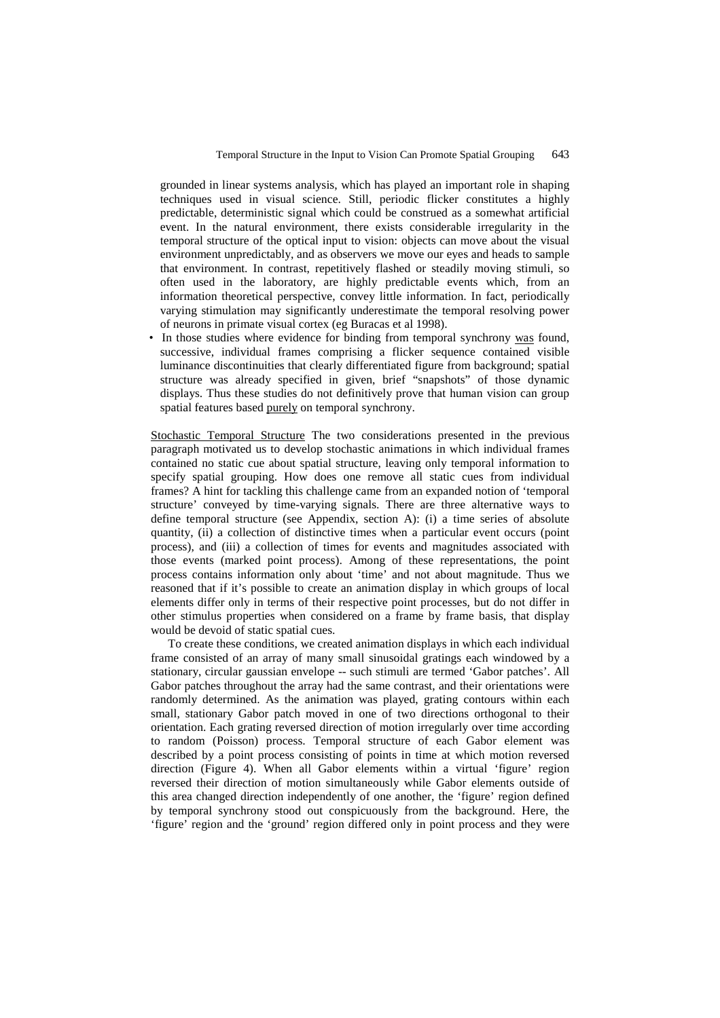grounded in linear systems analysis, which has played an important role in shaping techniques used in visual science. Still, periodic flicker constitutes a highly predictable, deterministic signal which could be construed as a somewhat artificial event. In the natural environment, there exists considerable irregularity in the temporal structure of the optical input to vision: objects can move about the visual environment unpredictably, and as observers we move our eyes and heads to sample that environment. In contrast, repetitively flashed or steadily moving stimuli, so often used in the laboratory, are highly predictable events which, from an information theoretical perspective, convey little information. In fact, periodically varying stimulation may significantly underestimate the temporal resolving power of neurons in primate visual cortex (eg Buracas et al 1998).

• In those studies where evidence for binding from temporal synchrony was found, successive, individual frames comprising a flicker sequence contained visible luminance discontinuities that clearly differentiated figure from background; spatial structure was already specified in given, brief "snapshots" of those dynamic displays. Thus these studies do not definitively prove that human vision can group spatial features based purely on temporal synchrony.

Stochastic Temporal Structure The two considerations presented in the previous paragraph motivated us to develop stochastic animations in which individual frames contained no static cue about spatial structure, leaving only temporal information to specify spatial grouping. How does one remove all static cues from individual frames? A hint for tackling this challenge came from an expanded notion of 'temporal structure' conveyed by time-varying signals. There are three alternative ways to define temporal structure (see Appendix, section A): (i) a time series of absolute quantity, (ii) a collection of distinctive times when a particular event occurs (point process), and (iii) a collection of times for events and magnitudes associated with those events (marked point process). Among of these representations, the point process contains information only about 'time' and not about magnitude. Thus we reasoned that if it's possible to create an animation display in which groups of local elements differ only in terms of their respective point processes, but do not differ in other stimulus properties when considered on a frame by frame basis, that display would be devoid of static spatial cues.

To create these conditions, we created animation displays in which each individual frame consisted of an array of many small sinusoidal gratings each windowed by a stationary, circular gaussian envelope -- such stimuli are termed 'Gabor patches'. All Gabor patches throughout the array had the same contrast, and their orientations were randomly determined. As the animation was played, grating contours within each small, stationary Gabor patch moved in one of two directions orthogonal to their orientation. Each grating reversed direction of motion irregularly over time according to random (Poisson) process. Temporal structure of each Gabor element was described by a point process consisting of points in time at which motion reversed direction (Figure 4). When all Gabor elements within a virtual 'figure' region reversed their direction of motion simultaneously while Gabor elements outside of this area changed direction independently of one another, the 'figure' region defined by temporal synchrony stood out conspicuously from the background. Here, the 'figure' region and the 'ground' region differed only in point process and they were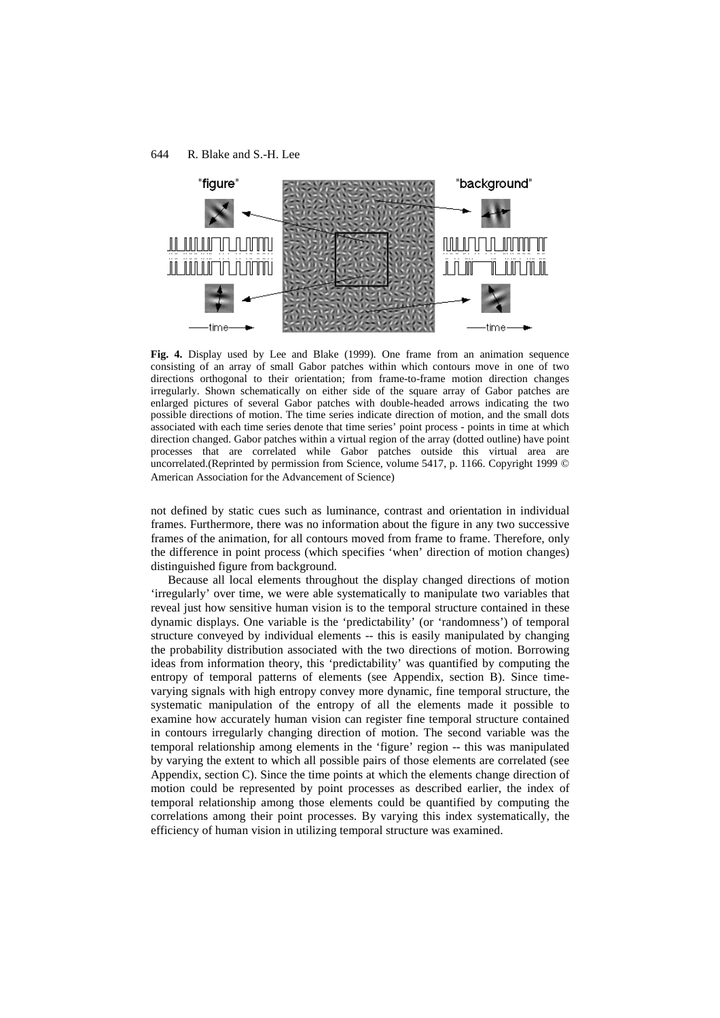

**Fig. 4.** Display used by Lee and Blake (1999). One frame from an animation sequence consisting of an array of small Gabor patches within which contours move in one of two directions orthogonal to their orientation; from frame-to-frame motion direction changes irregularly. Shown schematically on either side of the square array of Gabor patches are enlarged pictures of several Gabor patches with double-headed arrows indicating the two possible directions of motion. The time series indicate direction of motion, and the small dots associated with each time series denote that time series' point process - points in time at which direction changed. Gabor patches within a virtual region of the array (dotted outline) have point processes that are correlated while Gabor patches outside this virtual area are uncorrelated.(Reprinted by permission from Science, volume 5417, p. 1166. Copyright 1999 © American Association for the Advancement of Science)

not defined by static cues such as luminance, contrast and orientation in individual frames. Furthermore, there was no information about the figure in any two successive frames of the animation, for all contours moved from frame to frame. Therefore, only the difference in point process (which specifies 'when' direction of motion changes) distinguished figure from background.

Because all local elements throughout the display changed directions of motion 'irregularly' over time, we were able systematically to manipulate two variables that reveal just how sensitive human vision is to the temporal structure contained in these dynamic displays. One variable is the 'predictability' (or 'randomness') of temporal structure conveyed by individual elements -- this is easily manipulated by changing the probability distribution associated with the two directions of motion. Borrowing ideas from information theory, this 'predictability' was quantified by computing the entropy of temporal patterns of elements (see Appendix, section B). Since timevarying signals with high entropy convey more dynamic, fine temporal structure, the systematic manipulation of the entropy of all the elements made it possible to examine how accurately human vision can register fine temporal structure contained in contours irregularly changing direction of motion. The second variable was the temporal relationship among elements in the 'figure' region -- this was manipulated by varying the extent to which all possible pairs of those elements are correlated (see Appendix, section C). Since the time points at which the elements change direction of motion could be represented by point processes as described earlier, the index of temporal relationship among those elements could be quantified by computing the correlations among their point processes. By varying this index systematically, the efficiency of human vision in utilizing temporal structure was examined.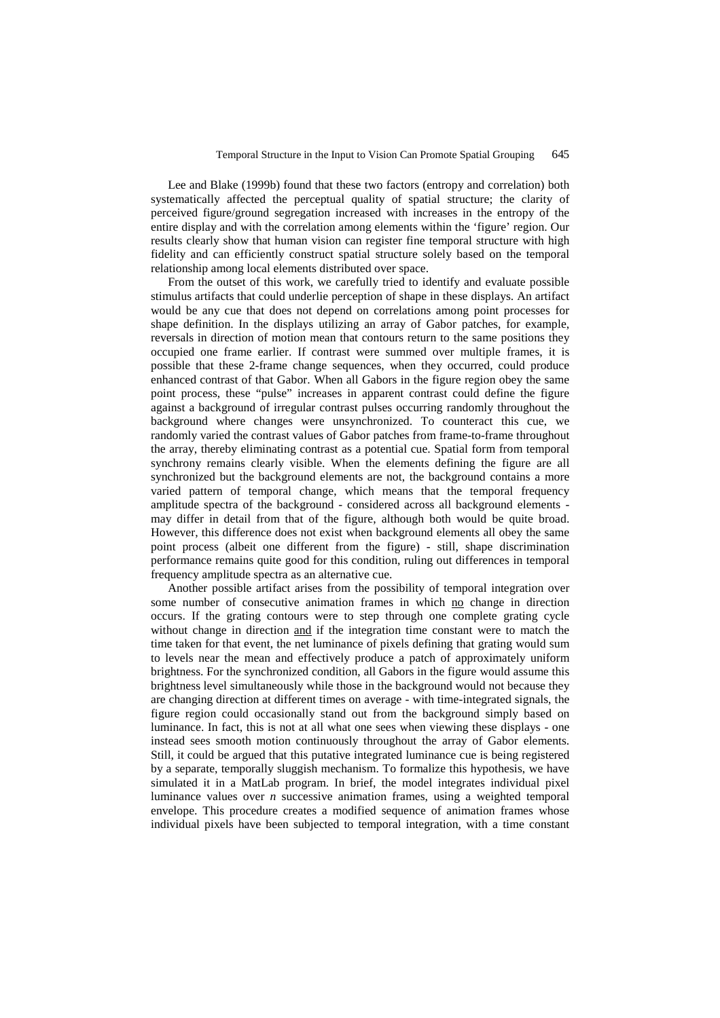Lee and Blake (1999b) found that these two factors (entropy and correlation) both systematically affected the perceptual quality of spatial structure; the clarity of perceived figure/ground segregation increased with increases in the entropy of the entire display and with the correlation among elements within the 'figure' region. Our results clearly show that human vision can register fine temporal structure with high fidelity and can efficiently construct spatial structure solely based on the temporal relationship among local elements distributed over space.

From the outset of this work, we carefully tried to identify and evaluate possible stimulus artifacts that could underlie perception of shape in these displays. An artifact would be any cue that does not depend on correlations among point processes for shape definition. In the displays utilizing an array of Gabor patches, for example, reversals in direction of motion mean that contours return to the same positions they occupied one frame earlier. If contrast were summed over multiple frames, it is possible that these 2-frame change sequences, when they occurred, could produce enhanced contrast of that Gabor. When all Gabors in the figure region obey the same point process, these "pulse" increases in apparent contrast could define the figure against a background of irregular contrast pulses occurring randomly throughout the background where changes were unsynchronized. To counteract this cue, we randomly varied the contrast values of Gabor patches from frame-to-frame throughout the array, thereby eliminating contrast as a potential cue. Spatial form from temporal synchrony remains clearly visible. When the elements defining the figure are all synchronized but the background elements are not, the background contains a more varied pattern of temporal change, which means that the temporal frequency amplitude spectra of the background - considered across all background elements may differ in detail from that of the figure, although both would be quite broad. However, this difference does not exist when background elements all obey the same point process (albeit one different from the figure) - still, shape discrimination performance remains quite good for this condition, ruling out differences in temporal frequency amplitude spectra as an alternative cue.

Another possible artifact arises from the possibility of temporal integration over some number of consecutive animation frames in which no change in direction occurs. If the grating contours were to step through one complete grating cycle without change in direction and if the integration time constant were to match the time taken for that event, the net luminance of pixels defining that grating would sum to levels near the mean and effectively produce a patch of approximately uniform brightness. For the synchronized condition, all Gabors in the figure would assume this brightness level simultaneously while those in the background would not because they are changing direction at different times on average - with time-integrated signals, the figure region could occasionally stand out from the background simply based on luminance. In fact, this is not at all what one sees when viewing these displays - one instead sees smooth motion continuously throughout the array of Gabor elements. Still, it could be argued that this putative integrated luminance cue is being registered by a separate, temporally sluggish mechanism. To formalize this hypothesis, we have simulated it in a MatLab program. In brief, the model integrates individual pixel luminance values over *n* successive animation frames, using a weighted temporal envelope. This procedure creates a modified sequence of animation frames whose individual pixels have been subjected to temporal integration, with a time constant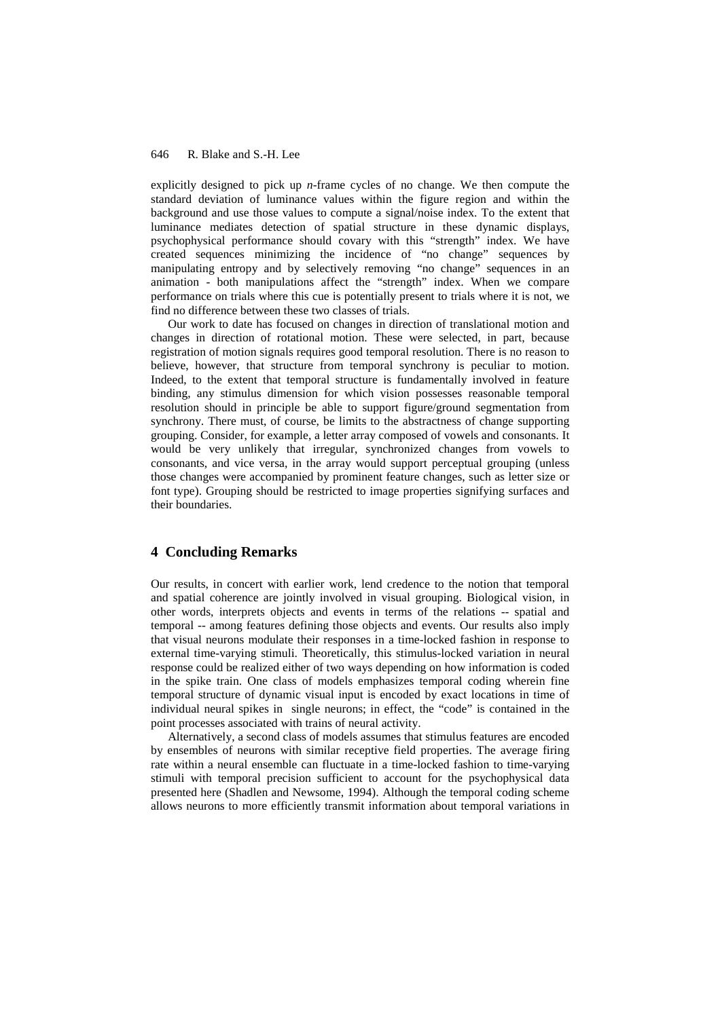explicitly designed to pick up *n*-frame cycles of no change. We then compute the standard deviation of luminance values within the figure region and within the background and use those values to compute a signal/noise index. To the extent that luminance mediates detection of spatial structure in these dynamic displays, psychophysical performance should covary with this "strength" index. We have created sequences minimizing the incidence of "no change" sequences by manipulating entropy and by selectively removing "no change" sequences in an animation - both manipulations affect the "strength" index. When we compare performance on trials where this cue is potentially present to trials where it is not, we find no difference between these two classes of trials.

Our work to date has focused on changes in direction of translational motion and changes in direction of rotational motion. These were selected, in part, because registration of motion signals requires good temporal resolution. There is no reason to believe, however, that structure from temporal synchrony is peculiar to motion. Indeed, to the extent that temporal structure is fundamentally involved in feature binding, any stimulus dimension for which vision possesses reasonable temporal resolution should in principle be able to support figure/ground segmentation from synchrony. There must, of course, be limits to the abstractness of change supporting grouping. Consider, for example, a letter array composed of vowels and consonants. It would be very unlikely that irregular, synchronized changes from vowels to consonants, and vice versa, in the array would support perceptual grouping (unless those changes were accompanied by prominent feature changes, such as letter size or font type). Grouping should be restricted to image properties signifying surfaces and their boundaries.

## **4 Concluding Remarks**

Our results, in concert with earlier work, lend credence to the notion that temporal and spatial coherence are jointly involved in visual grouping. Biological vision, in other words, interprets objects and events in terms of the relations -- spatial and temporal -- among features defining those objects and events. Our results also imply that visual neurons modulate their responses in a time-locked fashion in response to external time-varying stimuli. Theoretically, this stimulus-locked variation in neural response could be realized either of two ways depending on how information is coded in the spike train. One class of models emphasizes temporal coding wherein fine temporal structure of dynamic visual input is encoded by exact locations in time of individual neural spikes in single neurons; in effect, the "code" is contained in the point processes associated with trains of neural activity.

Alternatively, a second class of models assumes that stimulus features are encoded by ensembles of neurons with similar receptive field properties. The average firing rate within a neural ensemble can fluctuate in a time-locked fashion to time-varying stimuli with temporal precision sufficient to account for the psychophysical data presented here (Shadlen and Newsome, 1994). Although the temporal coding scheme allows neurons to more efficiently transmit information about temporal variations in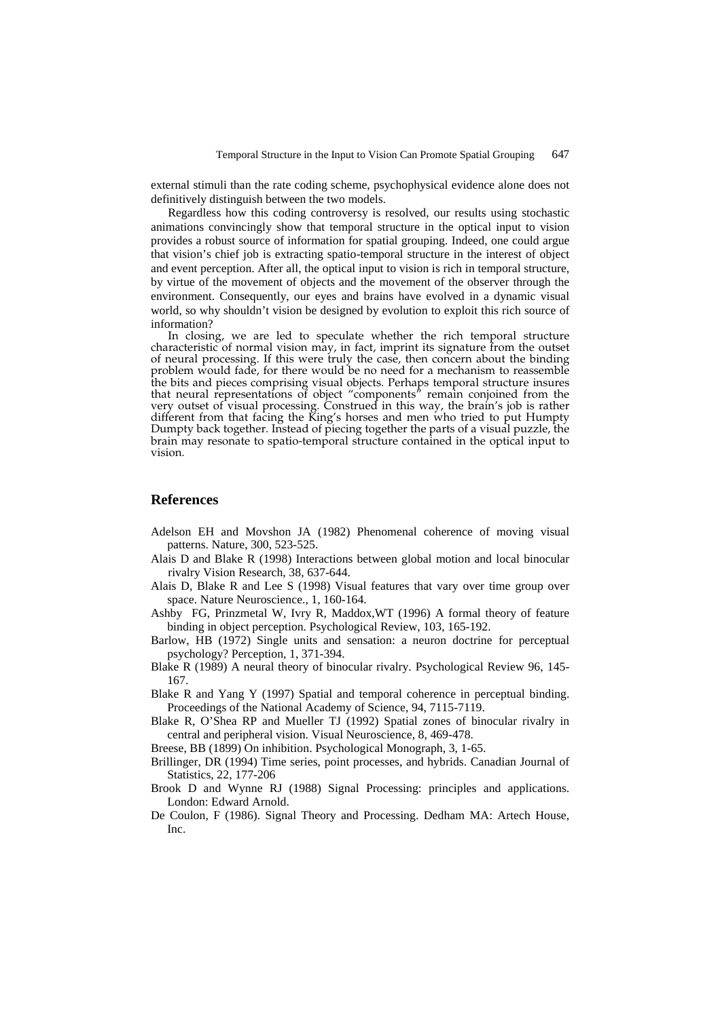external stimuli than the rate coding scheme, psychophysical evidence alone does not definitively distinguish between the two models.

Regardless how this coding controversy is resolved, our results using stochastic animations convincingly show that temporal structure in the optical input to vision provides a robust source of information for spatial grouping. Indeed, one could argue that vision's chief job is extracting spatio-temporal structure in the interest of object and event perception. After all, the optical input to vision is rich in temporal structure, by virtue of the movement of objects and the movement of the observer through the environment. Consequently, our eyes and brains have evolved in a dynamic visual world, so why shouldn't vision be designed by evolution to exploit this rich source of information?

In closing, we are led to speculate whether the rich temporal structure characteristic of normal vision may, in fact, imprint its signature from the outset of neural processing. If this were truly the case, then concern about the binding problem would fade, for there would be no need for a mechanism to reassemble the bits and pieces comprising visual objects. Perhaps temporal structure insures that neural representations of object "components" remain conjoined from the very outset of visual processing. Construed in this way, the brain's job is rather different from that facing the King's horses and men who tried to put Humpty Dumpty back together. Instead of piecing together the parts of a visual puzzle, the brain may resonate to spatio-temporal structure contained in the optical input to vision.

### **References**

- Adelson EH and Movshon JA (1982) Phenomenal coherence of moving visual patterns. Nature, 300, 523-525.
- Alais D and Blake R (1998) Interactions between global motion and local binocular rivalry Vision Research, 38, 637-644.
- Alais D, Blake R and Lee S (1998) Visual features that vary over time group over space. Nature Neuroscience., 1, 160-164.
- Ashby FG, Prinzmetal W, Ivry R, Maddox,WT (1996) A formal theory of feature binding in object perception. Psychological Review, 103, 165-192.
- Barlow, HB (1972) Single units and sensation: a neuron doctrine for perceptual psychology? Perception, 1, 371-394.
- Blake R (1989) A neural theory of binocular rivalry. Psychological Review 96, 145- 167.
- Blake R and Yang Y (1997) Spatial and temporal coherence in perceptual binding. Proceedings of the National Academy of Science, 94, 7115-7119.
- Blake R, O'Shea RP and Mueller TJ (1992) Spatial zones of binocular rivalry in central and peripheral vision. Visual Neuroscience, 8, 469-478.
- Breese, BB (1899) On inhibition. Psychological Monograph, 3, 1-65.
- Brillinger, DR (1994) Time series, point processes, and hybrids. Canadian Journal of Statistics, 22, 177-206
- Brook D and Wynne RJ (1988) Signal Processing: principles and applications. London: Edward Arnold.
- De Coulon, F (1986). Signal Theory and Processing. Dedham MA: Artech House, Inc.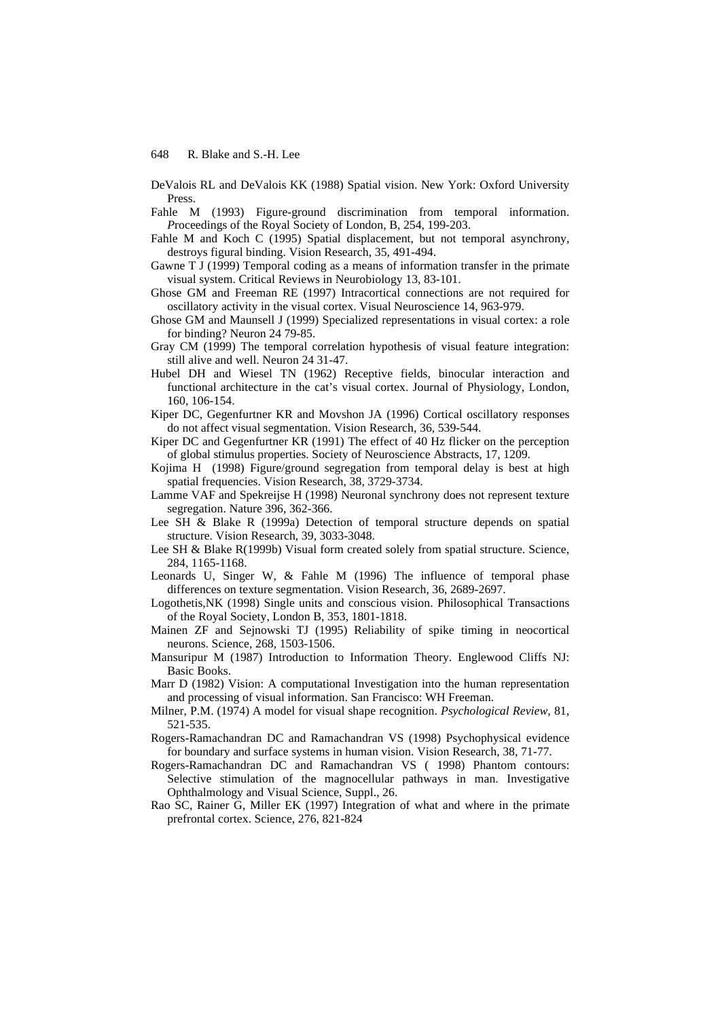- DeValois RL and DeValois KK (1988) Spatial vision. New York: Oxford University Press.
- Fahle M (1993) Figure-ground discrimination from temporal information. *P*roceedings of the Royal Society of London, B, 254, 199-203.
- Fahle M and Koch C (1995) Spatial displacement, but not temporal asynchrony, destroys figural binding. Vision Research, 35, 491-494.
- Gawne T J (1999) Temporal coding as a means of information transfer in the primate visual system. Critical Reviews in Neurobiology 13, 83-101.
- Ghose GM and Freeman RE (1997) Intracortical connections are not required for oscillatory activity in the visual cortex. Visual Neuroscience 14, 963-979.
- Ghose GM and Maunsell J (1999) Specialized representations in visual cortex: a role for binding? Neuron 24 79-85.
- Gray CM (1999) The temporal correlation hypothesis of visual feature integration: still alive and well. Neuron 24 31-47.
- Hubel DH and Wiesel TN (1962) Receptive fields, binocular interaction and functional architecture in the cat's visual cortex. Journal of Physiology, London, 160, 106-154.
- Kiper DC, Gegenfurtner KR and Movshon JA (1996) Cortical oscillatory responses do not affect visual segmentation. Vision Research, 36, 539-544.
- Kiper DC and Gegenfurtner KR (1991) The effect of 40 Hz flicker on the perception of global stimulus properties. Society of Neuroscience Abstracts, 17, 1209.
- Kojima H (1998) Figure/ground segregation from temporal delay is best at high spatial frequencies. Vision Research, 38, 3729-3734.
- Lamme VAF and Spekreijse H (1998) Neuronal synchrony does not represent texture segregation. Nature 396, 362-366.
- Lee SH & Blake R (1999a) Detection of temporal structure depends on spatial structure. Vision Research, 39, 3033-3048.
- Lee SH & Blake R(1999b) Visual form created solely from spatial structure. Science, 284, 1165-1168.
- Leonards U, Singer W, & Fahle M (1996) The influence of temporal phase differences on texture segmentation. Vision Research, 36, 2689-2697.
- Logothetis,NK (1998) Single units and conscious vision. Philosophical Transactions of the Royal Society, London B, 353, 1801-1818.
- Mainen ZF and Sejnowski TJ (1995) Reliability of spike timing in neocortical neurons. Science, 268, 1503-1506.
- Mansuripur M (1987) Introduction to Information Theory. Englewood Cliffs NJ: Basic Books.
- Marr D (1982) Vision: A computational Investigation into the human representation and processing of visual information. San Francisco: WH Freeman.
- Milner, P.M. (1974) A model for visual shape recognition. *Psychological Review*, 81, 521-535.
- Rogers-Ramachandran DC and Ramachandran VS (1998) Psychophysical evidence for boundary and surface systems in human vision. Vision Research, 38, 71-77.
- Rogers-Ramachandran DC and Ramachandran VS ( 1998) Phantom contours: Selective stimulation of the magnocellular pathways in man. Investigative Ophthalmology and Visual Science, Suppl., 26.
- Rao SC, Rainer G, Miller EK (1997) Integration of what and where in the primate prefrontal cortex. Science, 276, 821-824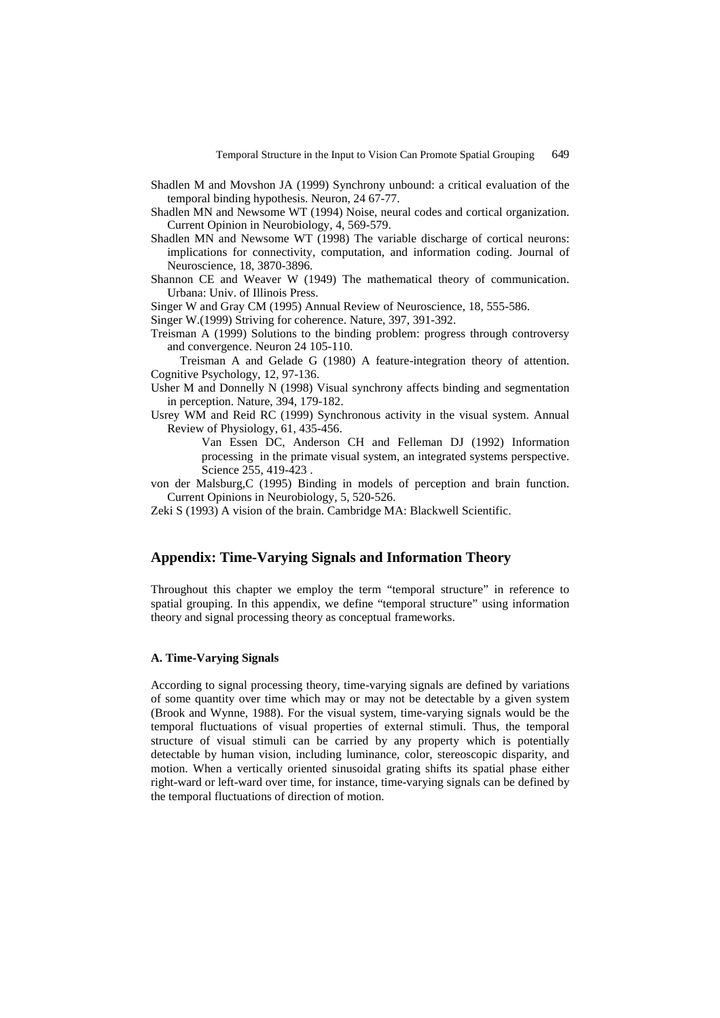- Shadlen M and Movshon JA (1999) Synchrony unbound: a critical evaluation of the temporal binding hypothesis. Neuron, 24 67-77.
- Shadlen MN and Newsome WT (1994) Noise, neural codes and cortical organization. Current Opinion in Neurobiology, 4, 569-579.
- Shadlen MN and Newsome WT (1998) The variable discharge of cortical neurons: implications for connectivity, computation, and information coding. Journal of Neuroscience, 18, 3870-3896.
- Shannon CE and Weaver W (1949) The mathematical theory of communication. Urbana: Univ. of Illinois Press.

Singer W and Gray CM (1995) Annual Review of Neuroscience, 18, 555-586.

- Singer W.(1999) Striving for coherence. Nature, 397, 391-392.
- Treisman A (1999) Solutions to the binding problem: progress through controversy and convergence. Neuron 24 105-110.

Treisman A and Gelade G (1980) A feature-integration theory of attention. Cognitive Psychology, 12, 97-136.

- Usher M and Donnelly N (1998) Visual synchrony affects binding and segmentation in perception. Nature, 394, 179-182.
- Usrey WM and Reid RC (1999) Synchronous activity in the visual system. Annual Review of Physiology, 61, 435-456.

Van Essen DC, Anderson CH and Felleman DJ (1992) Information processing in the primate visual system, an integrated systems perspective. Science 255, 419-423 .

- von der Malsburg,C (1995) Binding in models of perception and brain function. Current Opinions in Neurobiology, 5, 520-526.
- Zeki S (1993) A vision of the brain. Cambridge MA: Blackwell Scientific.

### **Appendix: Time-Varying Signals and Information Theory**

Throughout this chapter we employ the term "temporal structure" in reference to spatial grouping. In this appendix, we define "temporal structure" using information theory and signal processing theory as conceptual frameworks.

#### **A. Time-Varying Signals**

According to signal processing theory, time-varying signals are defined by variations of some quantity over time which may or may not be detectable by a given system (Brook and Wynne, 1988). For the visual system, time-varying signals would be the temporal fluctuations of visual properties of external stimuli. Thus, the temporal structure of visual stimuli can be carried by any property which is potentially detectable by human vision, including luminance, color, stereoscopic disparity, and motion. When a vertically oriented sinusoidal grating shifts its spatial phase either right-ward or left-ward over time, for instance, time-varying signals can be defined by the temporal fluctuations of direction of motion.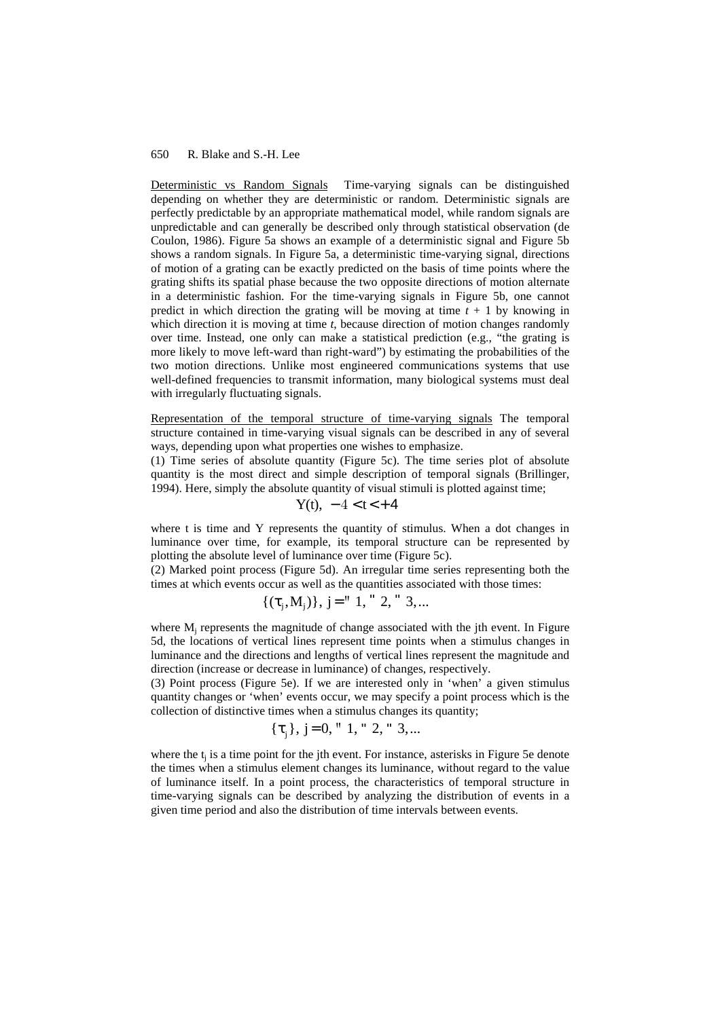Deterministic vs Random Signals Time-varying signals can be distinguished depending on whether they are deterministic or random. Deterministic signals are perfectly predictable by an appropriate mathematical model, while random signals are unpredictable and can generally be described only through statistical observation (de Coulon, 1986). Figure 5a shows an example of a deterministic signal and Figure 5b shows a random signals. In Figure 5a, a deterministic time-varying signal, directions of motion of a grating can be exactly predicted on the basis of time points where the grating shifts its spatial phase because the two opposite directions of motion alternate in a deterministic fashion. For the time-varying signals in Figure 5b, one cannot predict in which direction the grating will be moving at time  $t + 1$  by knowing in which direction it is moving at time *t*, because direction of motion changes randomly over time. Instead, one only can make a statistical prediction (e.g., "the grating is more likely to move left-ward than right-ward") by estimating the probabilities of the two motion directions. Unlike most engineered communications systems that use well-defined frequencies to transmit information, many biological systems must deal with irregularly fluctuating signals.

Representation of the temporal structure of time-varying signals The temporal structure contained in time-varying visual signals can be described in any of several ways, depending upon what properties one wishes to emphasize.

(1) Time series of absolute quantity (Figure 5c). The time series plot of absolute quantity is the most direct and simple description of temporal signals (Brillinger, 1994). Here, simply the absolute quantity of visual stimuli is plotted against time;

$$
Y(t), -4 < t < +4
$$

where t is time and Y represents the quantity of stimulus. When a dot changes in luminance over time, for example, its temporal structure can be represented by plotting the absolute level of luminance over time (Figure 5c).

(2) Marked point process (Figure 5d). An irregular time series representing both the times at which events occur as well as the quantities associated with those times:

$$
\{(\tau_j, M_j)\}, j = "1," 2, "3,...
$$

where  $M_i$  represents the magnitude of change associated with the jth event. In Figure 5d, the locations of vertical lines represent time points when a stimulus changes in luminance and the directions and lengths of vertical lines represent the magnitude and direction (increase or decrease in luminance) of changes, respectively.

(3) Point process (Figure 5e). If we are interested only in 'when' a given stimulus quantity changes or 'when' events occur, we may specify a point process which is the collection of distinctive times when a stimulus changes its quantity;

$$
\{\tau_j\}, j=0, "1, "2, "3,...
$$

where the  $t_i$  is a time point for the jth event. For instance, asterisks in Figure 5e denote the times when a stimulus element changes its luminance, without regard to the value of luminance itself. In a point process, the characteristics of temporal structure in time-varying signals can be described by analyzing the distribution of events in a given time period and also the distribution of time intervals between events.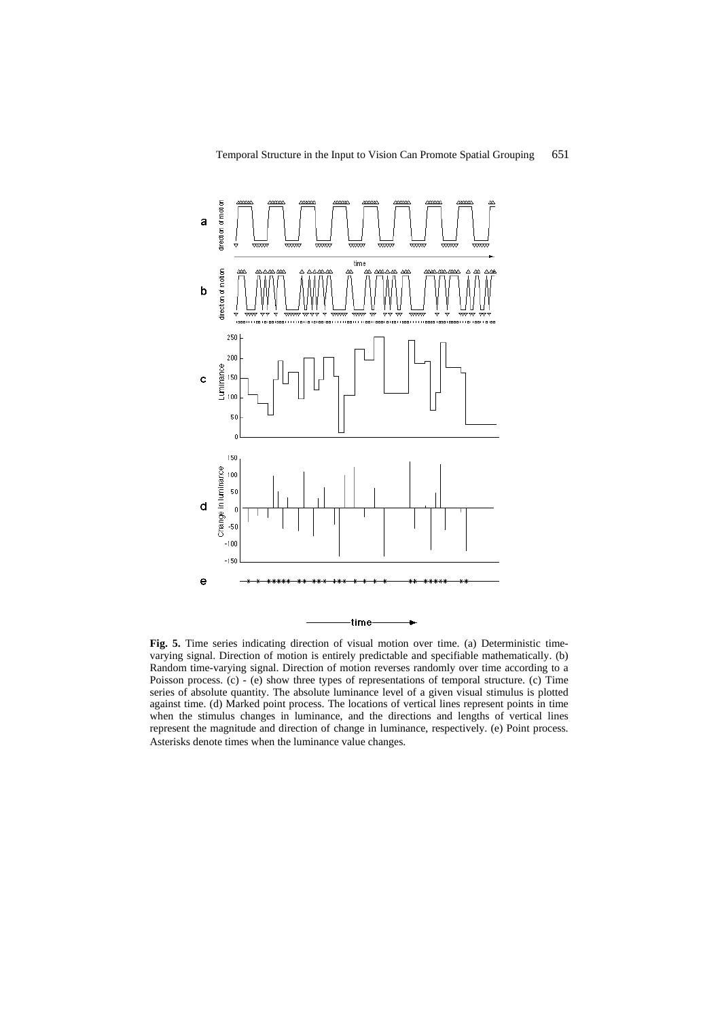

**Fig. 5.** Time series indicating direction of visual motion over time. (a) Deterministic timevarying signal. Direction of motion is entirely predictable and specifiable mathematically. (b) Random time-varying signal. Direction of motion reverses randomly over time according to a Poisson process. (c) - (e) show three types of representations of temporal structure. (c) Time series of absolute quantity. The absolute luminance level of a given visual stimulus is plotted against time. (d) Marked point process. The locations of vertical lines represent points in time when the stimulus changes in luminance, and the directions and lengths of vertical lines represent the magnitude and direction of change in luminance, respectively. (e) Point process. Asterisks denote times when the luminance value changes.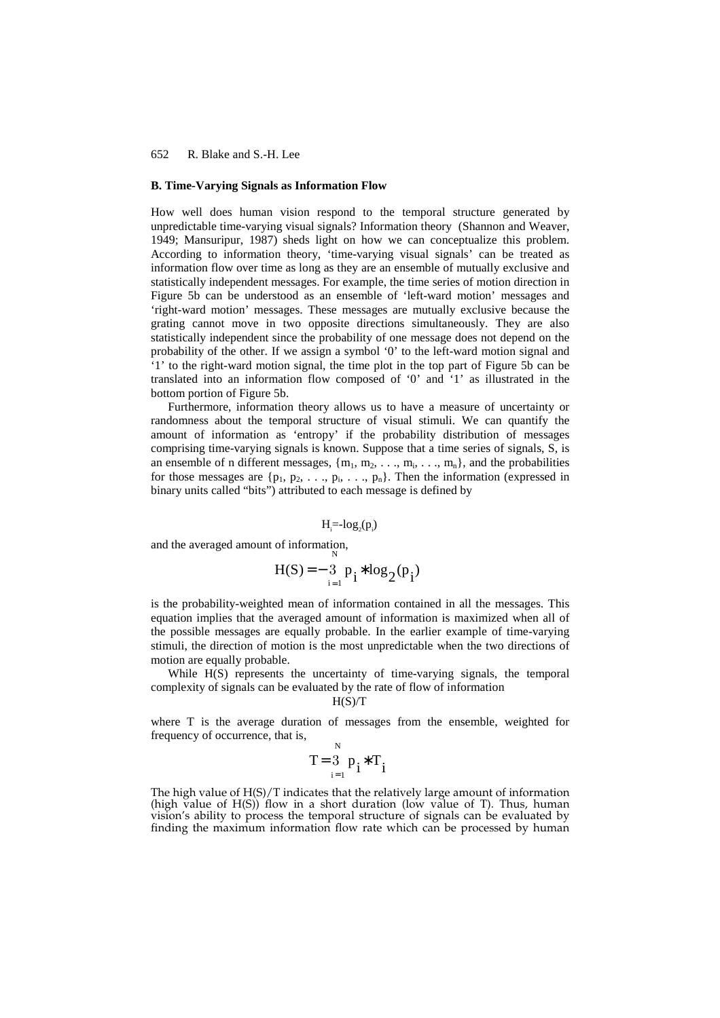#### **B. Time-Varying Signals as Information Flow**

How well does human vision respond to the temporal structure generated by unpredictable time-varying visual signals? Information theory (Shannon and Weaver, 1949; Mansuripur, 1987) sheds light on how we can conceptualize this problem. According to information theory, 'time-varying visual signals' can be treated as information flow over time as long as they are an ensemble of mutually exclusive and statistically independent messages. For example, the time series of motion direction in Figure 5b can be understood as an ensemble of 'left-ward motion' messages and 'right-ward motion' messages. These messages are mutually exclusive because the grating cannot move in two opposite directions simultaneously. They are also statistically independent since the probability of one message does not depend on the probability of the other. If we assign a symbol '0' to the left-ward motion signal and '1' to the right-ward motion signal, the time plot in the top part of Figure 5b can be translated into an information flow composed of '0' and '1' as illustrated in the bottom portion of Figure 5b.

Furthermore, information theory allows us to have a measure of uncertainty or randomness about the temporal structure of visual stimuli. We can quantify the amount of information as 'entropy' if the probability distribution of messages comprising time-varying signals is known. Suppose that a time series of signals, S, is an ensemble of n different messages,  $\{m_1, m_2, \ldots, m_i, \ldots, m_n\}$ , and the probabilities for those messages are  $\{p_1, p_2, \ldots, p_i, \ldots, p_n\}$ . Then the information (expressed in binary units called "bits") attributed to each message is defined by

$$
H_i\!\!=\!\!\text{-}\!\log_2\!\!(p_i)
$$

and the averaged amount of information, N

$$
H(S) = -\frac{3}{i} p_i * log_2(p_i)
$$

is the probability-weighted mean of information contained in all the messages. This equation implies that the averaged amount of information is maximized when all of the possible messages are equally probable. In the earlier example of time-varying stimuli, the direction of motion is the most unpredictable when the two directions of motion are equally probable.

While H(S) represents the uncertainty of time-varying signals, the temporal complexity of signals can be evaluated by the rate of flow of information

$$
H(S)/T
$$

where T is the average duration of messages from the ensemble, weighted for frequency of occurrence, that is,

$$
T = \frac{3}{i} p_i * T_i
$$

The high value of H(S)/T indicates that the relatively large amount of information (high value of H(S)) flow in a short duration (low value of T). Thus, human vision's ability to process the temporal structure of signals can be evaluated by finding the maximum information flow rate which can be processed by human